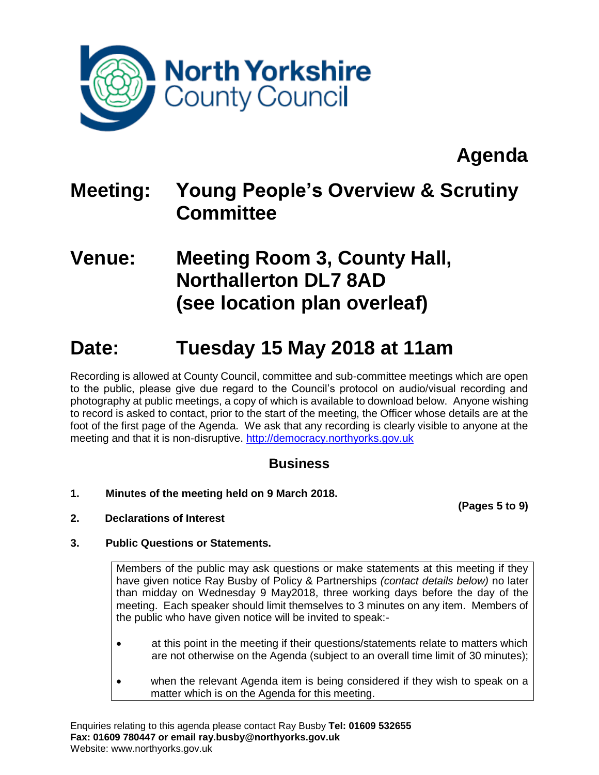

## **Agenda**

### **Meeting: Young People's Overview & Scrutiny Committee**

### **Venue: Meeting Room 3, County Hall, Northallerton DL7 8AD (see location plan overleaf)**

### **Date: Tuesday 15 May 2018 at 11am**

Recording is allowed at County Council, committee and sub-committee meetings which are open to the public, please give due regard to the Council's protocol on audio/visual recording and photography at public meetings, a copy of which is available to download below. Anyone wishing to record is asked to contact, prior to the start of the meeting, the Officer whose details are at the foot of the first page of the Agenda. We ask that any recording is clearly visible to anyone at the meeting and that it is non-disruptive. [http://democracy.northyorks.gov.uk](http://democracy.northyorks.gov.uk/)

### **Business**

**1. Minutes of the meeting held on 9 March 2018.**

**(Pages 5 to 9)**

**2. Declarations of Interest**

### **3. Public Questions or Statements.**

Members of the public may ask questions or make statements at this meeting if they have given notice Ray Busby of Policy & Partnerships *(contact details below)* no later than midday on Wednesday 9 May2018, three working days before the day of the meeting. Each speaker should limit themselves to 3 minutes on any item. Members of the public who have given notice will be invited to speak:-

- at this point in the meeting if their questions/statements relate to matters which are not otherwise on the Agenda (subject to an overall time limit of 30 minutes);
- when the relevant Agenda item is being considered if they wish to speak on a matter which is on the Agenda for this meeting.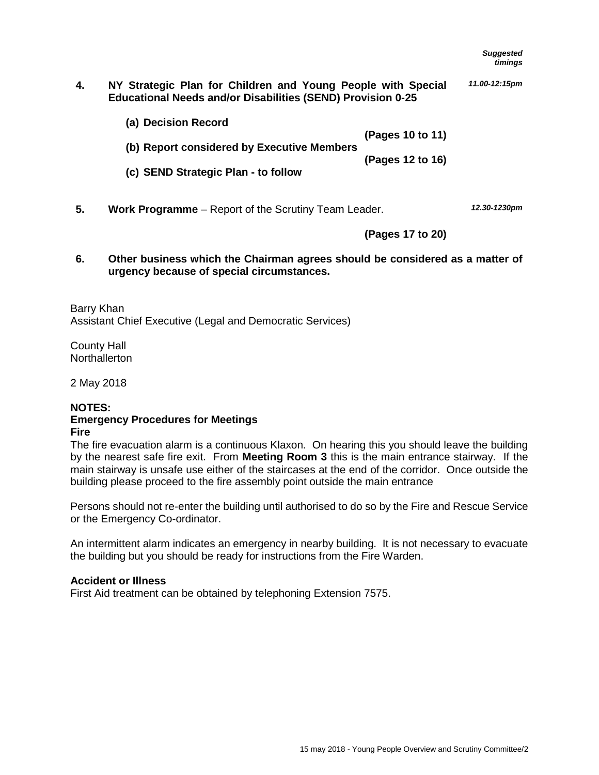| 4. | NY Strategic Plan for Children and Young People with Special       | 11.00-12:15pm |
|----|--------------------------------------------------------------------|---------------|
|    | <b>Educational Needs and/or Disabilities (SEND) Provision 0-25</b> |               |

| (a) Decision Record                        |                  |
|--------------------------------------------|------------------|
|                                            | (Pages 10 to 11) |
| (b) Report considered by Executive Members |                  |
|                                            | (Pages 12 to 16) |
| (c) SEND Strategic Plan - to follow        |                  |

**5. Work Programme** – Report of the Scrutiny Team Leader.

*12.30-1230pm*

**(Pages 17 to 20)**

**6. Other business which the Chairman agrees should be considered as a matter of urgency because of special circumstances.**

Barry Khan Assistant Chief Executive (Legal and Democratic Services)

County Hall **Northallerton** 

2 May 2018

#### **NOTES: Emergency Procedures for Meetings Fire**

The fire evacuation alarm is a continuous Klaxon. On hearing this you should leave the building by the nearest safe fire exit. From **Meeting Room 3** this is the main entrance stairway. If the main stairway is unsafe use either of the staircases at the end of the corridor. Once outside the building please proceed to the fire assembly point outside the main entrance

Persons should not re-enter the building until authorised to do so by the Fire and Rescue Service or the Emergency Co-ordinator.

An intermittent alarm indicates an emergency in nearby building. It is not necessary to evacuate the building but you should be ready for instructions from the Fire Warden.

#### **Accident or Illness**

First Aid treatment can be obtained by telephoning Extension 7575.